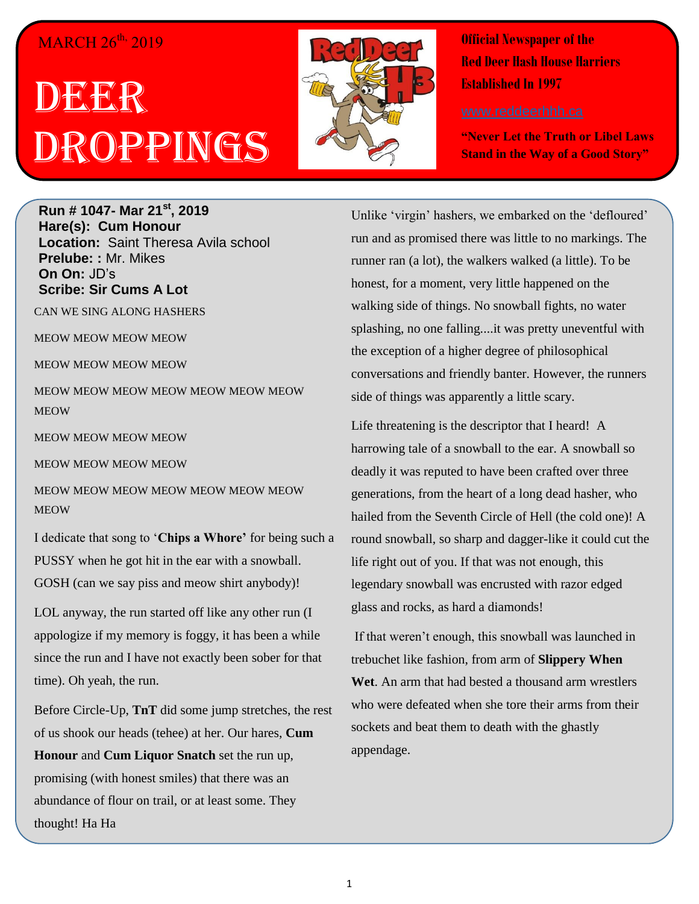#### MARCH 26<sup>th,</sup> 2019

# IDER BER Droppings



**Official Newspaper of the Red Deer Hash House Harriers Established In 1997** 

**"Never Let the Truth or Libel Laws Stand in the Way of a Good Story"**

**Run # 1047- Mar 21st, 2019 Hare(s): Cum Honour Location:** Saint Theresa Avila school **Prelube: :** Mr. Mikes **On On:** JD's **Scribe: Sir Cums A Lot**

CAN WE SING ALONG HASHERS

MEOW MEOW MEOW MEOW

MEOW MEOW MEOW MEOW

MEOW MEOW MEOW MEOW MEOW MEOW MEOW **MEOW** 

MEOW MEOW MEOW MEOW

MEOW MEOW MEOW MEOW

MEOW MEOW MEOW MEOW MEOW MEOW MEOW **MEOW** 

I dedicate that song to '**Chips a Whore'** for being such a PUSSY when he got hit in the ear with a snowball. GOSH (can we say piss and meow shirt anybody)!

LOL anyway, the run started off like any other run (I appologize if my memory is foggy, it has been a while since the run and I have not exactly been sober for that time). Oh yeah, the run.

Before Circle-Up, **TnT** did some jump stretches, the rest of us shook our heads (tehee) at her. Our hares, **Cum Honour** and **Cum Liquor Snatch** set the run up, promising (with honest smiles) that there was an abundance of flour on trail, or at least some. They thought! Ha Ha

Unlike 'virgin' hashers, we embarked on the 'defloured' run and as promised there was little to no markings. The runner ran (a lot), the walkers walked (a little). To be honest, for a moment, very little happened on the walking side of things. No snowball fights, no water splashing, no one falling....it was pretty uneventful with the exception of a higher degree of philosophical conversations and friendly banter. However, the runners side of things was apparently a little scary.

Life threatening is the descriptor that I heard! A harrowing tale of a snowball to the ear. A snowball so deadly it was reputed to have been crafted over three generations, from the heart of a long dead hasher, who hailed from the Seventh Circle of Hell (the cold one)! A round snowball, so sharp and dagger-like it could cut the life right out of you. If that was not enough, this legendary snowball was encrusted with razor edged glass and rocks, as hard a diamonds!

If that weren't enough, this snowball was launched in trebuchet like fashion, from arm of **Slippery When Wet**. An arm that had bested a thousand arm wrestlers who were defeated when she tore their arms from their sockets and beat them to death with the ghastly appendage.